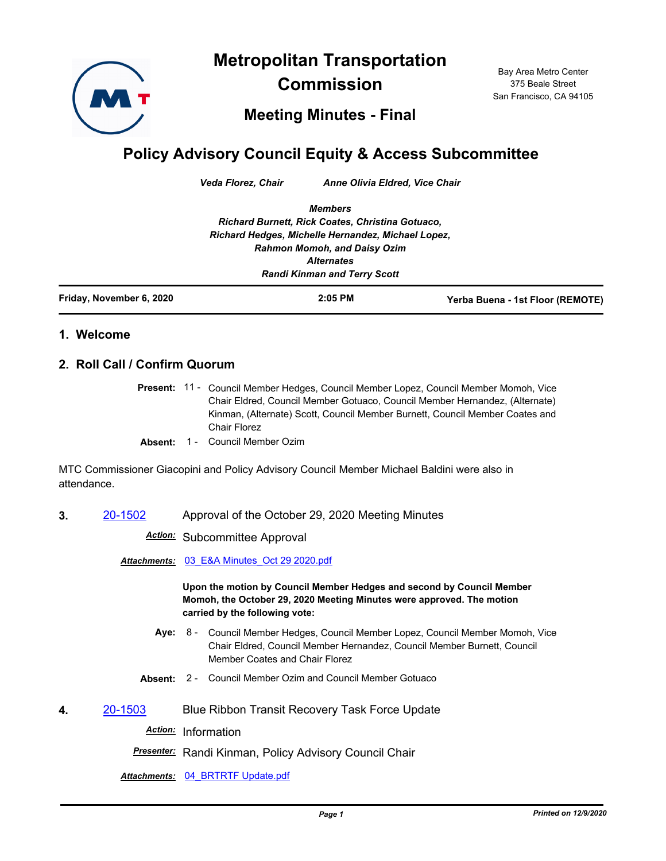**Metropolitan Transportation** 



**Commission**

Bay Area Metro Center 375 Beale Street San Francisco, CA 94105

**Meeting Minutes - Final**

## **Policy Advisory Council Equity & Access Subcommittee**

*Veda Florez, Chair Anne Olivia Eldred, Vice Chair*

*Members Richard Burnett, Rick Coates, Christina Gotuaco, Richard Hedges, Michelle Hernandez, Michael Lopez, Rahmon Momoh, and Daisy Ozim Alternates Randi Kinman and Terry Scott*

| Friday, November 6, 2020 | $2:05$ PM | Yerba Buena - 1st Floor (REMOTE) |
|--------------------------|-----------|----------------------------------|
|                          |           |                                  |

## **1. Welcome**

## **2. Roll Call / Confirm Quorum**

Present: 11 - Council Member Hedges, Council Member Lopez, Council Member Momoh, Vice Chair Eldred, Council Member Gotuaco, Council Member Hernandez, (Alternate) Kinman, (Alternate) Scott, Council Member Burnett, Council Member Coates and Chair Florez

**Absent:** 1 - Council Member Ozim

MTC Commissioner Giacopini and Policy Advisory Council Member Michael Baldini were also in attendance.

**3.** [20-1502](http://mtc.legistar.com/gateway.aspx?m=l&id=/matter.aspx?key=21367) Approval of the October 29, 2020 Meeting Minutes

*Action:* Subcommittee Approval

*Attachments:* [03\\_E&A Minutes\\_Oct 29 2020.pdf](http://mtc.legistar.com/gateway.aspx?M=F&ID=b3a31abc-6bc1-4097-8685-27410bb42830.pdf)

**Upon the motion by Council Member Hedges and second by Council Member Momoh, the October 29, 2020 Meeting Minutes were approved. The motion carried by the following vote:**

- **Aye:** Council Member Hedges, Council Member Lopez, Council Member Momoh, Vice Chair Eldred, Council Member Hernandez, Council Member Burnett, Council Member Coates and Chair Florez Aye: 8 -
- **Absent:** 2 Council Member Ozim and Council Member Gotuaco
- **4.** [20-1503](http://mtc.legistar.com/gateway.aspx?m=l&id=/matter.aspx?key=21368) Blue Ribbon Transit Recovery Task Force Update

*Action:* Information

*Presenter:* Randi Kinman, Policy Advisory Council Chair

*Attachments:* [04\\_BRTRTF Update.pdf](http://mtc.legistar.com/gateway.aspx?M=F&ID=abeea9ea-abee-4f8f-8821-846271a15a5b.pdf)